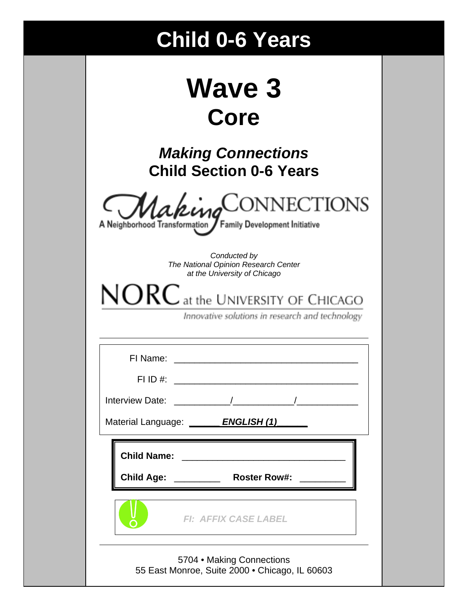# **Child 0-6 Years**

| <b>Wave 3</b> |  |
|---------------|--|
| Core          |  |

*Making Connections* **Child Section 0-6 Years** 

|  |  |  |  |  |  |  | MakingCONNECTIONS |
|--|--|--|--|--|--|--|-------------------|
|  |  |  |  |  |  |  |                   |

A Neighborhood Transformation / Family Development Initiative

*Conducted by The National Opinion Research Center at the University of Chicago* 

 $NORC$  at the UNIVERSITY OF CHICAGO

Innovative solutions in research and technology

| Material Language: ENGLISH (1)                                              |
|-----------------------------------------------------------------------------|
|                                                                             |
| <b>FI: AFFIX CASE LABEL</b>                                                 |
| 5704 • Making Connections<br>55 East Monroe, Suite 2000 • Chicago, IL 60603 |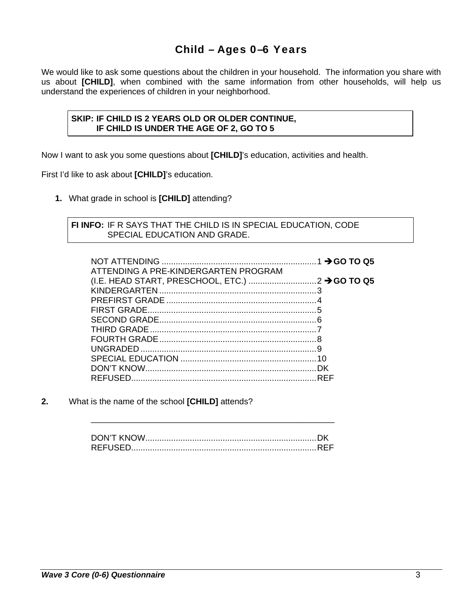## Child – Ages 0–6 Years

We would like to ask some questions about the children in your household. The information you share with us about **[CHILD]**, when combined with the same information from other households, will help us understand the experiences of children in your neighborhood.

#### **SKIP: IF CHILD IS 2 YEARS OLD OR OLDER CONTINUE, IF CHILD IS UNDER THE AGE OF 2, GO TO 5**

Now I want to ask you some questions about **[CHILD]**'s education, activities and health.

First I'd like to ask about **[CHILD]**'s education.

**1.** What grade in school is **[CHILD]** attending?

#### **FI INFO:** IF R SAYS THAT THE CHILD IS IN SPECIAL EDUCATION, CODE SPECIAL EDUCATION AND GRADE.

| ATTENDING A PRE-KINDERGARTEN PROGRAM |  |
|--------------------------------------|--|
|                                      |  |
|                                      |  |
|                                      |  |
|                                      |  |
|                                      |  |
|                                      |  |
|                                      |  |
|                                      |  |
|                                      |  |
|                                      |  |
|                                      |  |

**2.** What is the name of the school **[CHILD]** attends?

\_\_\_\_\_\_\_\_\_\_\_\_\_\_\_\_\_\_\_\_\_\_\_\_\_\_\_\_\_\_\_\_\_\_\_\_\_\_\_\_\_\_\_\_\_\_\_\_\_\_\_\_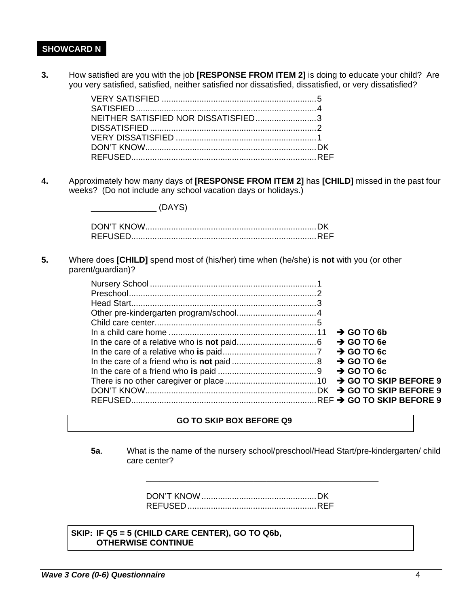#### **SHOWCARD N**

**3.** How satisfied are you with the job **[RESPONSE FROM ITEM 2]** is doing to educate your child? Are you very satisfied, satisfied, neither satisfied nor dissatisfied, dissatisfied, or very dissatisfied?

| NEITHER SATISFIED NOR DISSATISFIED3 |  |
|-------------------------------------|--|
|                                     |  |
|                                     |  |
|                                     |  |
|                                     |  |

**4.** Approximately how many days of **[RESPONSE FROM ITEM 2]** has **[CHILD]** missed in the past four weeks? (Do not include any school vacation days or holidays.)

> DON'T KNOW ......................................................................... DK REFUSED............................................................................... REF

 $\sqrt{DAYS}$ 

**5.** Where does **[CHILD]** spend most of (his/her) time when (he/she) is **not** with you (or other parent/guardian)?

|  | $\rightarrow$ GO TO 6b |
|--|------------------------|
|  | $\rightarrow$ GO TO 6e |
|  | $\rightarrow$ GO TO 6c |
|  | $\rightarrow$ GO TO 6e |
|  |                        |
|  |                        |
|  |                        |
|  |                        |

#### **GO TO SKIP BOX BEFORE Q9**

**5a**. What is the name of the nursery school/preschool/Head Start/pre-kindergarten/ child care center?

\_\_\_\_\_\_\_\_\_\_\_\_\_\_\_\_\_\_\_\_\_\_\_\_\_\_\_\_\_\_\_\_\_\_\_\_\_\_\_\_\_\_\_\_\_\_\_\_\_\_\_\_

DON'T KNOW ................................................. DK REFUSED ....................................................... REF

 **SKIP: IF Q5 = 5 (CHILD CARE CENTER), GO TO Q6b, OTHERWISE CONTINUE**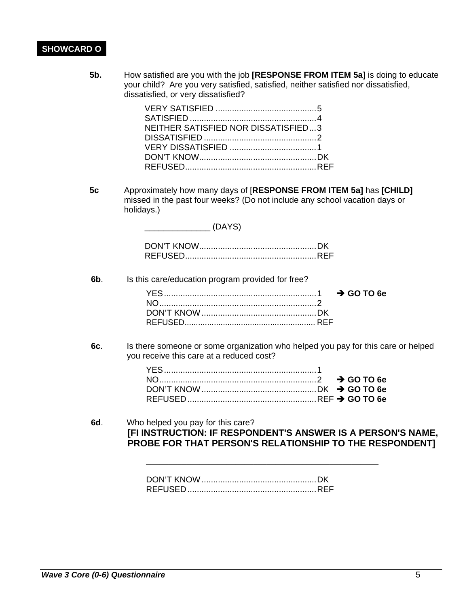### **SHOWCARD O**

**5b.** How satisfied are you with the job **[RESPONSE FROM ITEM 5a]** is doing to educate your child? Are you very satisfied, satisfied, neither satisfied nor dissatisfied, dissatisfied, or very dissatisfied?

| NEITHER SATISFIED NOR DISSATISFIED3 |  |
|-------------------------------------|--|
|                                     |  |
|                                     |  |
|                                     |  |
|                                     |  |

**5c** Approximately how many days of [**RESPONSE FROM ITEM 5a]** has **[CHILD]** missed in the past four weeks? (Do not include any school vacation days or holidays.)

**6b**. Is this care/education program provided for free?

\_\_\_\_\_\_\_\_\_\_\_\_\_\_ (DAYS)

**6c**. Is there someone or some organization who helped you pay for this care or helped you receive this care at a reduced cost?

**6d**. Who helped you pay for this care? **[FI INSTRUCTION: IF RESPONDENT'S ANSWER IS A PERSON'S NAME, PROBE FOR THAT PERSON'S RELATIONSHIP TO THE RESPONDENT]** 

\_\_\_\_\_\_\_\_\_\_\_\_\_\_\_\_\_\_\_\_\_\_\_\_\_\_\_\_\_\_\_\_\_\_\_\_\_\_\_\_\_\_\_\_\_\_\_\_\_\_\_\_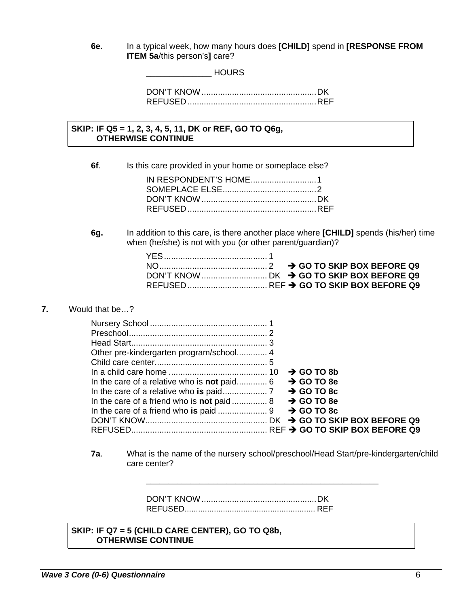**6e.** In a typical week, how many hours does **[CHILD]** spend in **[RESPONSE FROM ITEM 5a**/this person's**]** care?

\_\_\_\_\_\_\_\_\_\_\_\_\_\_ HOURS

#### **SKIP: IF Q5 = 1, 2, 3, 4, 5, 11, DK or REF, GO TO Q6g, OTHERWISE CONTINUE**

**6f.** Is this care provided in your home or someplace else?

**6g.** In addition to this care, is there another place where **[CHILD]** spends (his/her) time when (he/she) is not with you (or other parent/guardian)?

#### **7.** Would that be…?

|  |  | $\rightarrow$ GO TO 8b |  |  |  |
|--|--|------------------------|--|--|--|
|  |  |                        |  |  |  |
|  |  |                        |  |  |  |
|  |  |                        |  |  |  |
|  |  |                        |  |  |  |
|  |  |                        |  |  |  |
|  |  |                        |  |  |  |

**7a**. What is the name of the nursery school/preschool/Head Start/pre-kindergarten/child care center?

\_\_\_\_\_\_\_\_\_\_\_\_\_\_\_\_\_\_\_\_\_\_\_\_\_\_\_\_\_\_\_\_\_\_\_\_\_\_\_\_\_\_\_\_\_\_\_\_\_\_\_\_

DON'T KNOW ................................................. DK REFUSED .......................................................... REF

 **SKIP: IF Q7 = 5 (CHILD CARE CENTER), GO TO Q8b, OTHERWISE CONTINUE**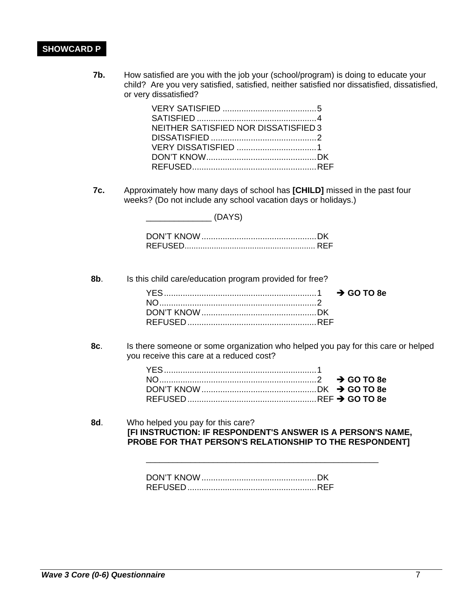## **SHOWCARD P**

**7b.** How satisfied are you with the job your (school/program) is doing to educate your child? Are you very satisfied, satisfied, neither satisfied nor dissatisfied, dissatisfied, or very dissatisfied?

| NEITHER SATISFIED NOR DISSATISFIED 3 |  |
|--------------------------------------|--|
|                                      |  |
|                                      |  |
|                                      |  |
|                                      |  |

**7c.** Approximately how many days of school has **[CHILD]** missed in the past four weeks? (Do not include any school vacation days or holidays.)

**8b**. Is this child care/education program provided for free?

**8c**. Is there someone or some organization who helped you pay for this care or helped you receive this care at a reduced cost?

**8d**. Who helped you pay for this care? **[FI INSTRUCTION: IF RESPONDENT'S ANSWER IS A PERSON'S NAME, PROBE FOR THAT PERSON'S RELATIONSHIP TO THE RESPONDENT]** 

\_\_\_\_\_\_\_\_\_\_\_\_\_\_\_\_\_\_\_\_\_\_\_\_\_\_\_\_\_\_\_\_\_\_\_\_\_\_\_\_\_\_\_\_\_\_\_\_\_\_\_\_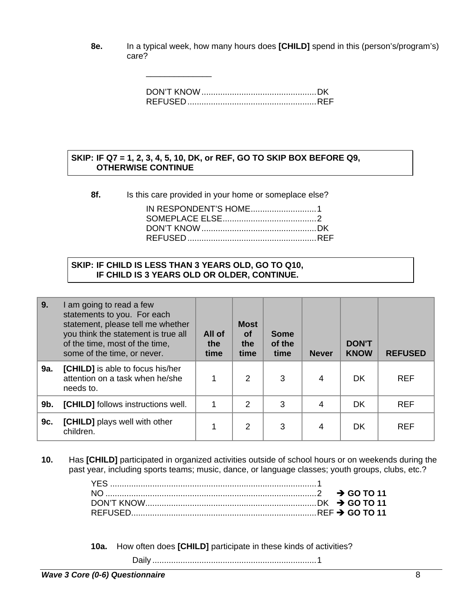**8e.** In a typical week, how many hours does **[CHILD]** spend in this (person's/program's) care?

#### **SKIP: IF Q7 = 1, 2, 3, 4, 5, 10, DK, or REF, GO TO SKIP BOX BEFORE Q9, OTHERWISE CONTINUE**

**8f.** Is this care provided in your home or someplace else?

| IN RESPONDENT'S HOME1 |  |
|-----------------------|--|
|                       |  |
|                       |  |
|                       |  |
|                       |  |

#### **SKIP: IF CHILD IS LESS THAN 3 YEARS OLD, GO TO Q10, IF CHILD IS 3 YEARS OLD OR OLDER, CONTINUE.**

\_\_\_\_\_\_\_\_\_\_\_\_\_\_

| │9. | I am going to read a few<br>statements to you. For each<br>statement, please tell me whether<br>you think the statement is true all<br>of the time, most of the time,<br>some of the time, or never. | All of<br>the<br>time | <b>Most</b><br><b>of</b><br>the<br>time | <b>Some</b><br>of the<br>time | <b>Never</b> | <b>DON'T</b><br><b>KNOW</b> | <b>REFUSED</b> |
|-----|------------------------------------------------------------------------------------------------------------------------------------------------------------------------------------------------------|-----------------------|-----------------------------------------|-------------------------------|--------------|-----------------------------|----------------|
| 9a. | [CHILD] is able to focus his/her<br>attention on a task when he/she<br>needs to.                                                                                                                     |                       | $\overline{2}$                          | 3                             | 4            | <b>DK</b>                   | <b>REF</b>     |
| 9b. | <b>[CHILD]</b> follows instructions well.                                                                                                                                                            |                       | $\overline{2}$                          | 3                             | 4            | <b>DK</b>                   | <b>REF</b>     |
| 9c. | <b>[CHILD]</b> plays well with other<br>children.                                                                                                                                                    |                       | 2                                       | 3                             | 4            | DK                          | <b>REF</b>     |

**10.** Has **[CHILD]** participated in organized activities outside of school hours or on weekends during the past year, including sports teams; music, dance, or language classes; youth groups, clubs, etc.?

**10a.** How often does **[CHILD]** participate in these kinds of activities?

Daily ...................................................................... 1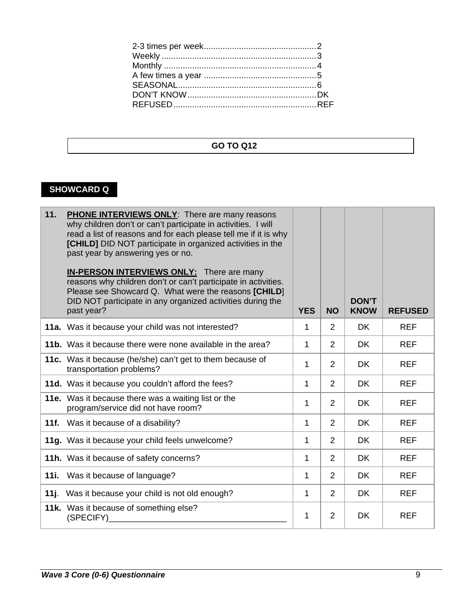## **GO TO Q12**

# **SHOWCARD Q**

| 11. | <b>PHONE INTERVIEWS ONLY:</b> There are many reasons<br>why children don't or can't participate in activities. I will<br>read a list of reasons and for each please tell me if it is why<br>[CHILD] DID NOT participate in organized activities in the<br>past year by answering yes or no.<br><b>IN-PERSON INTERVIEWS ONLY:</b> There are many<br>reasons why children don't or can't participate in activities.<br>Please see Showcard Q. What were the reasons [CHILD]<br>DID NOT participate in any organized activities during the<br>past year? | <b>YES</b> | <b>NO</b>      | <b>DON'T</b><br><b>KNOW</b> | <b>REFUSED</b> |
|-----|-------------------------------------------------------------------------------------------------------------------------------------------------------------------------------------------------------------------------------------------------------------------------------------------------------------------------------------------------------------------------------------------------------------------------------------------------------------------------------------------------------------------------------------------------------|------------|----------------|-----------------------------|----------------|
|     | 11a. Was it because your child was not interested?                                                                                                                                                                                                                                                                                                                                                                                                                                                                                                    | 1          | $\overline{2}$ | <b>DK</b>                   | <b>REF</b>     |
|     | 11b. Was it because there were none available in the area?                                                                                                                                                                                                                                                                                                                                                                                                                                                                                            | 1          | $\overline{2}$ | <b>DK</b>                   | <b>REF</b>     |
|     | 11c. Was it because (he/she) can't get to them because of<br>transportation problems?                                                                                                                                                                                                                                                                                                                                                                                                                                                                 | 1          | $\overline{2}$ | DK.                         | <b>REF</b>     |
|     | 11d. Was it because you couldn't afford the fees?                                                                                                                                                                                                                                                                                                                                                                                                                                                                                                     | 1          | 2              | DK.                         | <b>REF</b>     |
|     | 11e. Was it because there was a waiting list or the<br>program/service did not have room?                                                                                                                                                                                                                                                                                                                                                                                                                                                             | 1          | $\overline{2}$ | <b>DK</b>                   | <b>REF</b>     |
|     | 11f. Was it because of a disability?                                                                                                                                                                                                                                                                                                                                                                                                                                                                                                                  | 1          | 2              | DK.                         | <b>REF</b>     |
|     | 11g. Was it because your child feels unwelcome?                                                                                                                                                                                                                                                                                                                                                                                                                                                                                                       | 1          | $\overline{2}$ | <b>DK</b>                   | <b>REF</b>     |
|     | 11h. Was it because of safety concerns?                                                                                                                                                                                                                                                                                                                                                                                                                                                                                                               | 1          | $\overline{2}$ | DK.                         | <b>REF</b>     |
|     | 11i. Was it because of language?                                                                                                                                                                                                                                                                                                                                                                                                                                                                                                                      | 1          | 2              | <b>DK</b>                   | <b>REF</b>     |
|     | 11j. Was it because your child is not old enough?                                                                                                                                                                                                                                                                                                                                                                                                                                                                                                     | 1          | $\overline{2}$ | DK.                         | <b>REF</b>     |
|     | 11k. Was it because of something else?<br>(SPECIFY)                                                                                                                                                                                                                                                                                                                                                                                                                                                                                                   | 1          | $\overline{2}$ | <b>DK</b>                   | <b>REF</b>     |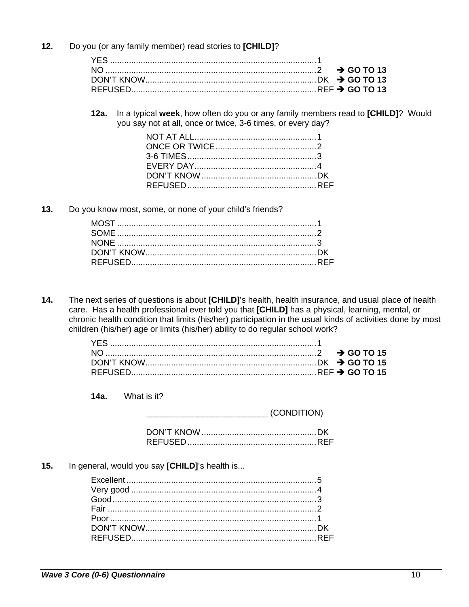$12.$ Do you (or any family member) read stories to [CHILD]?

12a. In a typical week, how often do you or any family members read to [CHILD]? Would you say not at all, once or twice, 3-6 times, or every day?

 $13.$ Do you know most, some, or none of your child's friends?

 $14.$ The next series of questions is about [CHILD]'s health, health insurance, and usual place of health care. Has a health professional ever told you that [CHILD] has a physical, learning, mental, or chronic health condition that limits (his/her) participation in the usual kinds of activities done by most children (his/her) age or limits (his/her) ability to do regular school work?

 $14a.$ What is it?

(CONDITION)

 $15.$ In general, would you say [CHILD]'s health is...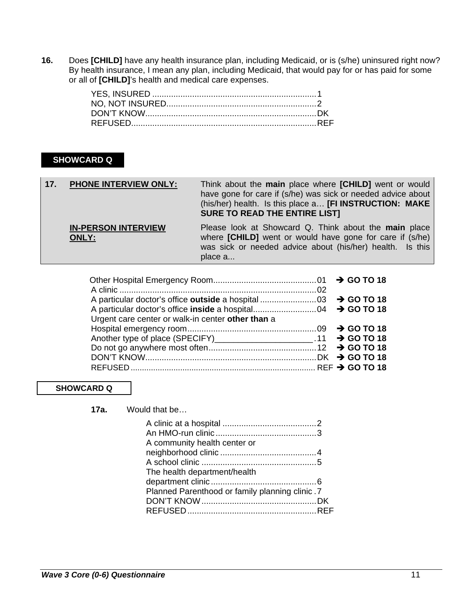**16.** Does **[CHILD]** have any health insurance plan, including Medicaid, or is (s/he) uninsured right now? By health insurance, I mean any plan, including Medicaid, that would pay for or has paid for some or all of **[CHILD]**'s health and medical care expenses.

## **SHOWCARD Q**

| 17.7 | <b>PHONE INTERVIEW ONLY:</b>               | Think about the main place where [CHILD] went or would<br>have gone for care if (s/he) was sick or needed advice about<br>(his/her) health. Is this place a [FI INSTRUCTION: MAKE<br><b>SURE TO READ THE ENTIRE LIST]</b> |
|------|--------------------------------------------|---------------------------------------------------------------------------------------------------------------------------------------------------------------------------------------------------------------------------|
|      | <b>IN-PERSON INTERVIEW</b><br><b>ONLY:</b> | Please look at Showcard Q. Think about the main place<br>where [CHILD] went or would have gone for care if (s/he)<br>was sick or needed advice about (his/her) health. Is this<br>place a                                 |

| Urgent care center or walk-in center other than a                     |  |
|-----------------------------------------------------------------------|--|
|                                                                       |  |
| Another type of place (SPECIFY)________________________.11 → GO TO 18 |  |
|                                                                       |  |
|                                                                       |  |
|                                                                       |  |

#### **SHOWCARD Q**

**17a.** Would that be…

| A community health center or                    |  |
|-------------------------------------------------|--|
|                                                 |  |
|                                                 |  |
| The health department/health                    |  |
|                                                 |  |
| Planned Parenthood or family planning clinic. 7 |  |
|                                                 |  |
|                                                 |  |